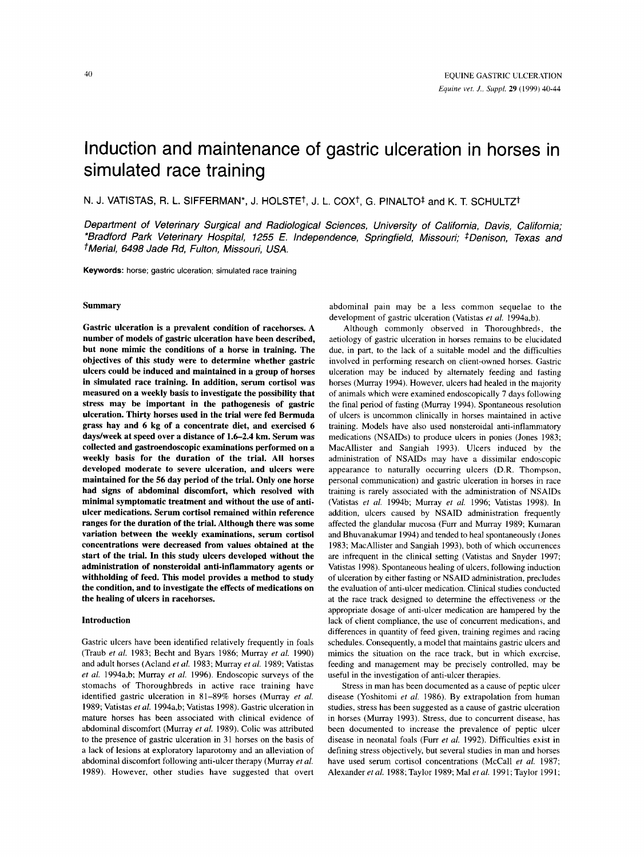# Induction and maintenance of gastric ulceration in horses in simulated race training

N. J. VATISTAS, R. L. SIFFERMAN\*, J. HOLSTE<sup>†</sup>, J. L. COX<sup>†</sup>, G. PINALTO<sup>‡</sup> and K. T. SCHULTZ<sup>†</sup>

*Deparfment of Veterinary Surgical and Radiological Sciences, University of California, Davis, California; \*Bradford Park Veterinary Hospital, 1255 E. Independence, Springfield, Missouri; \*Denison, Texas and tMerial, 6498 Jade Rd, Fulton, Missouri, USA.* 

**Keywords:** horse; gastric ulceration; simulated race training

## Summary

Gastric ulceration is a prevalent condition of racehorses. A number of models of gastric ulceration have been described, but none mimic the conditions of a horse in training. The objectives of this study were to determine whether gastric ulcers could be induced and maintained in a group of horses in simulated race training. In addition, serum cortisol was measured on a weekly basis to investigate the possibility that stress may be important in the pathogenesis of gastric ulceration. Thirty horses used in the trial were fed Bermuda grass hay and 6 kg of a concentrate diet, and exercised 6 daydweek at speed over a distance of **1.6-2.4** km. Serum was collected and gastroendoscopic examinations performed on a weekly basis for the duration of the trial. All horses developed moderate to severe ulceration, and ulcers were maintained for the 56 day period of the trial. Only one horse had signs of abdominal discomfort, which resolved with minimal symptomatic treatment and without the use of antiulcer medications. Serum cortisol remained within reference ranges for the duration of the trial. Although there was some variation between the weekly examinations, serum cortisol concentrations were decreased from values obtained at the start of the trial. In this study ulcers developed without the administration of nonsteroidal anti-inflammatory agents or withholding of feed. This model provides a method to study the condition, and to investigate the effects of medications on the healing of ulcers in racehorses.

### Introduction

Gastric ulcers have been identified relatively frequently in foals (Traub *et al.* 1983; Becht and Byars 1986; Murray *et al.* 1990) and adult horses (Acland *et al.* 1983; Murray *et al.* 1989; Vatistas *et al.* 1994a,b; Murray *et al.* 1996). Endoscopic surveys of the stomachs of Thoroughbreds in active race training have identified gastric ulceration in 81-89% horses (Murray *et al.* 1989; Vatistas *et al.* 1994a,b; Vatistas 1998). Gastric ulceration in mature horses has been associated with clinical evidence of abdominal discomfort (Murray *et al.* 1989). Colic was attributed to the presence of gastric ulceration in 31 horses on the basis of **a** lack of lesions at exploratory laparotomy and an alleviation of abdominal discomfort following anti-ulcer therapy (Murray *et al.*  1989). However, other studies have suggested that overt

abdominal pain may be a less common sequelae to the development of gastric ulceration (Vatistas *et al.* 1994a,b).

Although commonly observed in Thoroughbreds, the aetiology of gastric ulceration in horses remains to be elucidated due, in part, to the lack of a suitable model and the difficulties involved in performing research on client-owned horses. Gastric ulceration may be induced by alternately feeding and fasting horses (Murray 1994). However, ulcers had healed in the majority of animals which were examined endoscopically **7** days following the final period of fasting (Murray 1994). Spontaneous resolution of ulcers is uncommon clinically in horses maintained in active training. Models have **also** used nonsteroidal anti-inflammatory medications (NSAIDs) to produce ulcers in ponies (Jones 1983; MacAllister and Sangiah 1993). Ulcers induced by the administration of NSAIDs may have **a** dissimilar endoscopic appearance to naturally occurring ulcers (D.R. Thompson, personal communication) and gastric ulceration in horses in race training is rarely associated with the administration of NSAIDs (Vatistas *et al.* 3994b; Murray *et al.* 1996; Vatistas 1998). In addition, ulcers caused by NSAID administration frequently affected the glandular mucosa (Furr and Murray 1989; Kumaran and Bhuvanakumar 1994) and tended to heal spontaneously (Jones 1983; MacAllister and Sangiah 1993). both of which occunences are infrequent in the clinical setting (Vatistas and Snyder 1997; Vatistas 1998). Spontaneous healing of ulcers, following induction of ulceration by either fasting or NSAID administration, precludes the evaluation of anti-ulcer medication. Clinical studies conducted at the race track designed to determine the effectiveness or the appropriate dosage of anti-ulcer medication are hampered by the lack of client compliance, the use of concurrent medications, and differences in quantity of feed given, training regimes and racing schedules. Consequently, **a** model that maintains gastric ulcers and mimics the situation on the race track, but in which exercise, feeding and management may be precisely controlled, may be useful in the investigation of anti-ulcer therapies.

Stress in man has been documented **as a** cause of peptic ulcer disease (Yoshitomi *et al.* 1986). By extrapolation from human studies, stress has been suggested **as a** cause of gastric ulceration in horses (Murray 1993). Stress, due to concurrent disease, has been documented to increase the prevalence of peptic ulcer disease in neonatal foals (Furr *et al.* 1992). Difficulties exist in defining stress objectively, but several studies in man and horses have used serum cortisol concentrations (McCall *et al.* 1987; Alexander *etal.* 1988; Taylor 1989; Ma1 *etal.* 1991; Taylor 1991;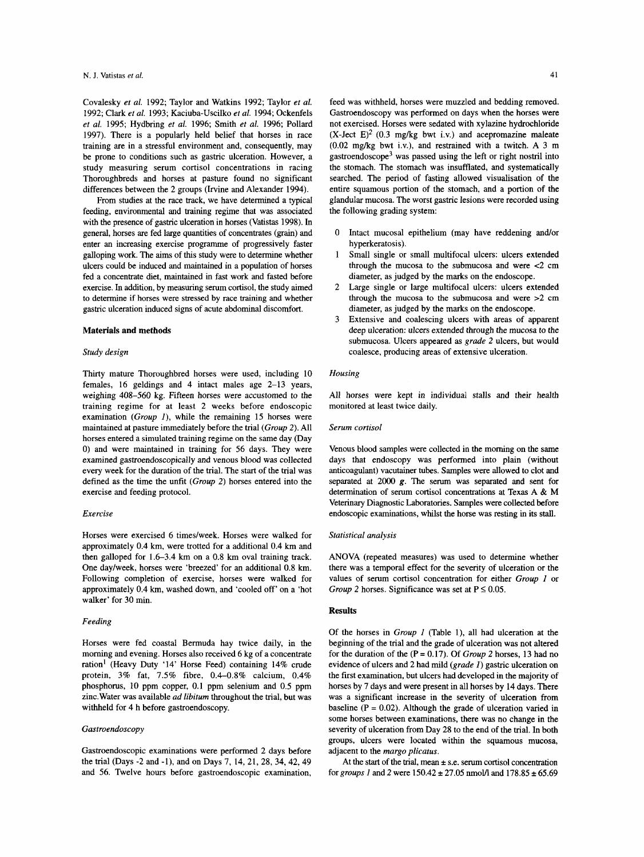Covalesky *et al.* 1992; Taylor and Watkins 1992; Taylor *et al.*  1992; Clark *et al.* 1993; Kaciuba-Uscilko *et al.* 1994; Ockenfels *et al.* 1995; Hydbring *et al.* 1996; Smith *et al.* 1996; Pollard 1997). There is a popularly held belief that horses in race training are in a stressful environment and, consequently, may be prone to conditions such as gastric ulceration. However, a study measuring serum cortisol concentrations in racing Thoroughbreds and horses at pasture found no significant differences between the 2 groups (Irvine and Alexander 1994).

From studies at the race track, we have determined a typical feeding, environmental and training regime that was associated with the presence of gastric ulceration in horses (Vatistas 1998). In general, horses are fed large quantities of concentrates (grain) and enter an increasing exercise programme of progressively faster galloping work. The aims of **this** study were to determine whether ulcers could be induced and maintained in a population of horses fed a concentrate diet, maintained in fast work and fasted before exercise. In addition, by measuring serum cortisol, the study aimed to determine **if** horses were stressed by race training and whether gastric ulceration induced signs of acute abdominal discomfort.

# **Materials and methods**

# *Study design*

Thirty mature Thoroughbred horses were used, including 10 females, 16 geldings and 4 intact males age 2-13 years, weighing 408-560 kg. Fifteen horses were accustomed to the training regime for at least 2 weeks before endoscopic examination *(Group I),* while the remaining 15 horses were maintained at pasture immediately before the trial *(Group 2).* All horses entered a simulated training regime on the same day (Day 0) and were maintained in training for 56 days. They were examined gastroendoscopically and venous blood was collected every week for the duration of the trial. The start of the trial was defined as the time the unfit *(Group 2)* horses entered into the exercise and feeding protocol.

#### *Exercise*

Horses were exercised 6 times/week. Horses were walked for approximately 0.4 km, were trotted for a additional 0.4 km and then galloped for 1.6-3.4 km on a 0.8 km oval training track. One day/week, horses were 'breezed' for an additional 0.8 km. Following completion of exercise, horses were walked for approximately 0.4 km, washed down, and 'cooled off' on a 'hot walker' for 30 min.

#### *Feeding*

Horses were fed coastal Bermuda hay twice daily, in the morning and evening. Horses also received 6 kg of a concentrate ration' (Heavy Duty '14' Horse Feed) containing 14% crude protein, **3%** fat, 7.5% fibre, 0.4-0.8% calcium, 0.4% phosphorus, 10 ppm copper, 0.1 ppm selenium and 0.5 ppm zinc.Water was available *ad libitum* throughout the trial, but was withheld for 4 h before gastroendoscopy.

## *Gastroendoscopy*

Gastroendoscopic examinations were performed 2 days before the trial (Days -2 and -1), and on Days 7, 14, 21, 28, 34, 42, 49 and 56. Twelve hours before gastroendoscopic examination, feed was withheld, horses were muzzled and bedding removed. Gastroendoscopy was performed on days when the horses were not exercised. Horses were sedated with xylazine hydrochloride  $(X$ -Ject  $E)^2$  (0.3 mg/kg bwt i.v.) and acepromazine maleate  $(0.02 \text{ mg/kg}$  bwt i.v.), and restrained with a twitch. A 3 m gastroendoscope<sup>3</sup> was passed using the left or right nostril into the stomach. The stomach was insufflated, and systematically searched. The period of fasting allowed visualisation of the entire squamous portion of the stomach, and a portion **of** the glandular mucosa. The worst gastric lesions were recorded using the following grading system:

- 0 Intact mucosal epithelium (may have reddening and/or hyperkeratosis).
- 1 Small single or small multifocal ulcers: ulcers extended through the mucosa to the submucosa and were  $<$ 2 cm diameter, as judged by the marks on the endoscope.
- Large single or large multifocal ulcers: ulcers extended through the mucosa to the submucosa and were >2 cm diameter, as judged by the marks on the endoscope. 2
- Extensive and coalescing ulcers with areas of apparent deep ulceration: ulcers extended through the mucosa to the submucosa. Ulcers appeared as *grade 2* ulcers, but would coalesce, producing areas of extensive ulceration. 3

### *Housing*

All horses were kept in individual stalls and their health monitored at least twice daily.

#### *Serum cortisol*

Venous blood samples were collected in the morning on the same days that endoscopy was performed into plain (without anticoagulant) vacutainer tubes. Samples were allowed to clot and separated at 2000 **g.** The serum was separated and sent for determination of serum cortisol concentrations at Texas A & **M**  Veterinary Diagnostic Laboratories. Samples were collected before endoscopic examinations, whilst the horse was resting in its stall.

## *Statistical analysis*

ANOVA (repeated measures) was used to determine whether there was a temporal effect for the severity of ulceration or the values of serum cortisol concentration for either *Group I* or *Group* 2 horses. Significance was set at  $P \le 0.05$ .

#### **Results**

Of the horses in *Group I* (Table l), all had ulceration at the beginning of the trial and the grade of ulceration was not altered for the duration of the (P = 0.17). Of *Group 2* horses, 13 had no evidence of ulcers and 2 had mild *(grade I)* gastric ulceration on the first examination, but ulcers had developed in the majority of horses by 7 days and were present in all horses by 14 days. There was a significant increase in the severity of ulceration from baseline ( $P = 0.02$ ). Although the grade of ulceration varied in some horses between examinations, there was no change in the severity of ulceration from Day 28 to the end of the trial. In both groups, ulcers were located within the squamous mucosa, adjacent to the *margo plicatus.* 

At the **start** of the trial, mean **i** s.e. serum cortisol concentration for *groups 1* and 2 were  $150.42 \pm 27.05$  nmol/l and  $178.85 \pm 65.69$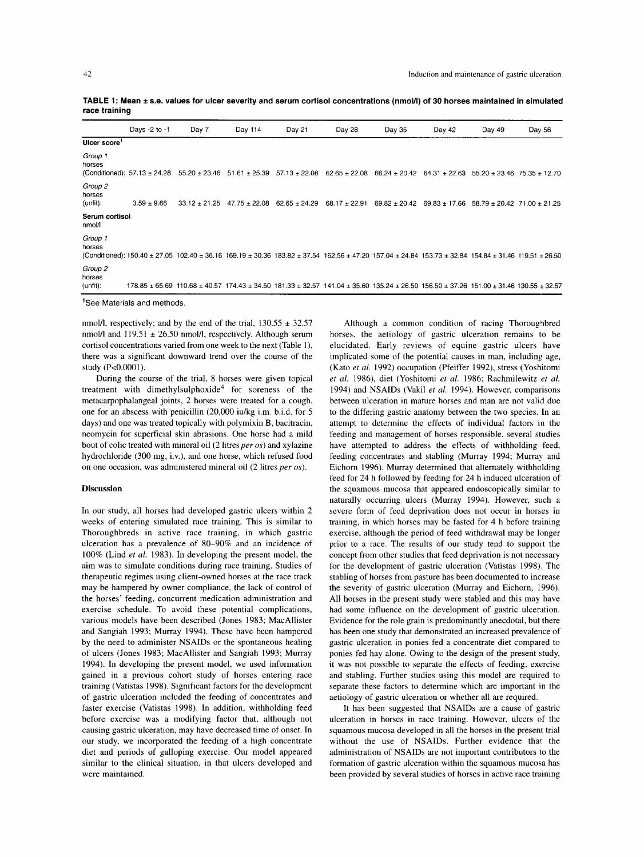**TABLE 1: Mean** \* **s.e. values for ulcer severity and serum cortisol concentrations (nmolll) of 30 horses maintained in simulated race training** 

|                               | Days -2 to -1                           | Day 7                                                                                                                                                                      | Day 114           | Day 21                              | Day 28            | Day 35            | Day 42                                                | Day 49 | Day 56                          |
|-------------------------------|-----------------------------------------|----------------------------------------------------------------------------------------------------------------------------------------------------------------------------|-------------------|-------------------------------------|-------------------|-------------------|-------------------------------------------------------|--------|---------------------------------|
| Ulcer score                   |                                         |                                                                                                                                                                            |                   |                                     |                   |                   |                                                       |        |                                 |
| Group 1<br>horses             |                                         | (Conditioned): $57.13 \pm 24.28$ 55.20 $\pm 23.46$                                                                                                                         | $51.61 \pm 25.39$ | $57.13 \pm 22.08$                   | $62.65 \pm 22.08$ | $66.24 \pm 20.42$ | $64.31 \pm 22.63$                                     |        | $55.20 \pm 23.46$ 75.35 ± 12.70 |
| Group 2<br>horses<br>(unfit): | $3.59 \pm 9.66$                         | $33.12 \pm 21.25$                                                                                                                                                          |                   | $47.75 \pm 22.08$ 62.65 $\pm$ 24.29 | $68.17 \pm 22.91$ | $69.82 \pm 20.42$ | $69.83 \pm 17.66$ 58.79 $\pm$ 20.42 71.00 $\pm$ 21.25 |        |                                 |
| Serum cortisol<br>nmol/l      |                                         |                                                                                                                                                                            |                   |                                     |                   |                   |                                                       |        |                                 |
| Group 1<br>horses             |                                         | (Conditioned): 150.40 ± 27.05 102.40 ± 36.16 169.19 ± 30.36 183.82 ± 37.54 162.56 ± 47.20 157.04 ± 24.84 153.73 ± 32.84 154.84 ± 31.46 119.51 ± 26.50                      |                   |                                     |                   |                   |                                                       |        |                                 |
| Group 2<br>horses<br>(unfit): |                                         | $178.85 \pm 65.69$ 110.68 $\pm$ 40.57 174.43 $\pm$ 34.50 181.33 $\pm$ 32.57 141.04 $\pm$ 35.60 135.24 $\pm$ 26.50 156.50 $\pm$ 37.26 151.00 $\pm$ 31.46 130.55 $\pm$ 32.57 |                   |                                     |                   |                   |                                                       |        |                                 |
|                               | <sup>1</sup> See Materials and methods. |                                                                                                                                                                            |                   |                                     |                   |                   |                                                       |        |                                 |

nmol/l, respectively; and by the end of the trial,  $130.55 \pm 32.57$ nmol/l and 119.51  $\pm$  26.50 nmol/l, respectively. Although serum cortisol concentrations varied from one week to the next (Table I), there was **a** significant downward trend over the course of the study (P<0.0001).

During the course of the trial, 8 horses were given topical treatment with dimethylsulphoxide<sup>4</sup> for soreness of the metacarpophalangeal joints, *2* horses were treated for **a** cough, one for an abscess with penicillin (20,000 iuikg i.m. b.i.d. for *5*  days) and one was treated topically with polymixin B, bacitracin, neomycin for superficial skin abrasions. One horse had **a** mild bout of colic treated with mineral oil  $(2 \text{ litres per } os)$  and xylazine hydrochloride (300 mg, i.v.), and one horse, which refused food on one occasion, was administered mineral oil  $(2$  litres per os).

#### **Discussion**

In our study, **all** horses had developed gastric ulcers within 2 weeks of entering simulated race training. This is similar to Thoroughbreds in active race training, in which gastric ulceration has **a** prevalence of 80-90% and an incidence of 100% (Lind *et a/.* 1983). In developing the present model, the aim was to simulate conditions during race training. Studies of therapeutic regimes using client-owned horses at the race track may be hampered by owner compliance, the lack of control of the horses' feeding, concurrent medication administration and exercise schedule. To avoid these potential complications, various models have been described (Jones 1983; MacAllister and Sangiah 1993; Murray 1994). These have been hampered by the need to administer NSAIDs or the spontaneous healing of ulcers (Jones 1983; MacAllister and Sangiah 1993; Murray 1994). In developing the present model, we used information gained in **a** previous cohort study of horses entering race training (Vatistas 1998). Significant factors for the development of gastric ulceration included the feeding of concentrates and faster exercise (Vatistas 1998). In addition, withholding feed before exercise was **a** modifying factor that, although not causing gastric ulceration, may have decreased time of onset. In our study, we incorporated the feeding of **a** high concentrate diet and periods of galloping exercise. Our model appeared similar to the clinical situation, in that ulcers developed and were maintained.

Although a common condition of racing Thorougnbred horses, the aetiology of gastric ulceration remains to be elucidated. Early reviews of equine gastric ulcers have implicated some of the potential causes in man, including age, (Kato et *a/.* 1992) occupation (Pfeiffer 1992), stress (Yoshitomi et *a/.* 1986), diet (Yoshitomi *et a/.* 1986; Rachmilewitz et *a/.*  1994) and NSAIDs (Vakil et *a/.* 1994). However, comparisons between ulceration in mature horses and man are not valid due to the differing gastric anatomy between the two species. In an attempt to determine the effects of individual factors in the feeding and management of horses responsible, several studies have attempted to address the effects of withholding feed, feeding concentrates and stabling (Murray 1994; Murray and Eichorn 1996). Murray determined that alternately withholding feed for 24 h followed by feeding for 24 h induced ulceration of the squamous mucosa that appeared endoscopically similar to naturally occurring ulcers (Murray 1994). However, such a severe form of feed deprivation does not occur in horses in training, in which horses may be fasted for 4 h before training exercise, although the period of feed withdrawal may be longer prior to **a** race. The results of our study tend to support the concept from other studies that feed deprivation is not necessary for the development of gastric ulceration (Vatistas 1998). The stabling of horses from pasture has been documented to increase the severity of gastric ulceration (Murray and Eichorn, 1996). All horses in the present study were stabled and this may have had some influence on the development of gastric ulceration. Evidence for the role grain is predominantly anecdotal, but there has been one study that demonstrated an increased prevalence of gastric ulceration in ponies fed a concentrate diet compared to ponies fed hay alone. Owing to the design of the present study, it was not possible to separate the effects of feeding, exercise and stabling. Further studies using this model are required to separate these factors to determine which are important in the aetiology of gastric ulceration or whether all are required.

It has been suggested that NSAIDs are **a** cause of gastric ulceration in horses in race training. However, ulcers of the squamous mucosa developed in all the horses in the present trial without the use of NSAIDs. Further evidence that the administration of NSAIDs are not important contributors to the formation of gastric ulceration within the squamous mucosa has been provided by several studies of horses in active race training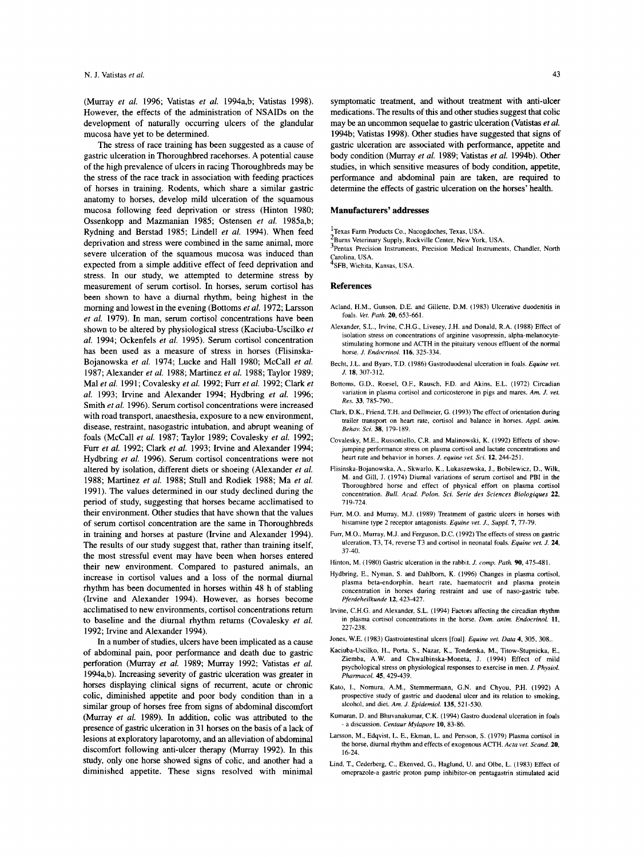(Murray *et al.* 1996; Vatistas *et al.* 1994a,b; Vatistas 1998). However, the effects of the administration of NSAIDs on the development of naturally occurring ulcers of the glandular mucosa have yet to be determined.

The stress of race training has been suggested as a cause of gastric ulceration in Thoroughbred racehorses. A potential cause of the high prevalence of ulcers in racing Thoroughbreds may be the stress of the race track in association with feeding practices of horses in training. Rodents, which share a similar gastric anatomy to horses, develop mild ulceration of the squamous mucosa following feed deprivation or stress (Hinton 1980; Ossenkopp and Mazmanian 1985; Ostensen et al. 1985a,b; Rydning and Berstad 1985; Lindell et al. 1994). When feed deprivation and stress were combined in the same animal, more severe ulceration of the squamous mucosa was induced than expected from a simple additive effect of feed deprivation and stress. In our study, we attempted to determine stress by measurement of serum cortisol. In horses, serum cortisol has been shown to have a diurnal rhythm, being highest in the morning and lowest in the evening (Bottoms *et al.* 1972; Larsson *et* al. 1979). In man, serum cortisol concentrations have been shown to be altered by physiological stress (Kaciuba-Uscilko et *al.* 1994; Ockenfels et *al.* 1995). Serum cortisol concentration has been used as a measure of stress in horses (Flisinska-Bojanowska et *al.* 1974; Lucke and Hall 1980; McCall et *al.*  1987; Alexander et *al.* 1988; Martinez *et al.* 1988; Taylor 1989; Ma1 et *al.* 1991; Covalesky et al. 1992; Furr et al. 1992; Clark et al. 1993; Irvine and Alexander 1994; Hydbring et al. 1996; Smith *et* al. 1996). Serum cortisol concentrations were increased with road transport, anaesthesia, exposure to a new environment, disease, restraint, nasogastric intubation, and abrupt weaning of foals (McCall et *al.* 1987; Taylor 1989; Covalesky et al. 1992; Fun *et al.* 1992; Clark et al. 1993; Irvine and Alexander 1994; Hydbring et *al.* 1996). Serum cortisol concentrations were not altered by isolation, different diets or shoeing (Alexander *et* al. 1988; Martinez *et* al. 1988; Stull and Rodiek 1988; Ma *et* al. 1991). The values determined in our study declined during the period of study, suggesting that horses became acclimatised to their environment. Other studies that have shown that the values of serum cortisol concentration are the same in Thoroughbreds in training and horses at pasture (Irvine and Alexander 1994). The results of our study suggest that, rather than training itself, the most stressful event may have been when horses entered their new environment. Compared to pastured animals, an increase in cortisol values and a loss of the normal diurnal rhythm has been documented in horses within 48 h of stabling (Irvine and Alexander 1994). However, as horses become acclimatised to new environments, cortisol concentrations return to baseline and the diurnal rhythm returns (Covalesky et al. 1992; Irvine and Alexander 1994).

In a number of studies, ulcers have been implicated **as** a cause of abdominal pain, poor performance and death due to gastric perforation (Murray *et* al. 1989; Murray 1992; Vatistas et *al.*  1994a,b). Increasing severity of gastric ulceration was greater in horses displaying clinical signs of recurrent, acute or chronic colic, diminished appetite and poor body condition than in a similar group of horses free from signs of abdominal discomfort (Murray et *al.* 1989). In addition, colic was attributed to the presence of gastric ulceration in 31 horses on the basis of a lack of lesions at exploratory laparotomy, and an alleviation of abdominal discomfort following anti-ulcer therapy (Murray 1992). In this study, only one horse showed signs of colic, and another had a diminished appetite. These signs resolved with minimal symptomatic treatment, and without treatment with anti-ulcer medications. The results of this and other studies suggest that colic may be an uncommon sequelae to gasttic ulceration (Vatistas *et* al. 1994b; Vatistas 1998). Other studies have suggested that signs of gastric ulceration are associated with performance, appetite and body condition (Murray et *al.* 1989; Vatistas *et* al. 1994b). Other studies, in which sensitive measures of body condition, appetite, performance and abdominal pain are taken, are required to determine the effects of gastric ulceration on the horses' health.

#### **Manufacturers' addresses**

- 'Texas Farm Products Co., Nacogdoches, Texas, USA.
- $^{2}_{2}$ Burns Veterinary Supply, Rockville Center, New York, USA.

3Pentax Precision Instruments, Precision Medical Instruments, Chandler, North Carolina, USA.

4SFB, Wichita, Kansas, USA.

#### **References**

- Acland, H.M., Gunson, D.E. and Gillette, D.M. (1983) Ulcerative duodenitis in foals. *Vet. Path.* 20, 653-661.
- Alexander, S.L., Irvine, C.H.G., Livesey, J.H. and Donald, R.A. (1988) Effect of isolation stress on concentrations of arginine vasopressin, alpha-melanocytestimulating hormone and ACTH in the pituitary venous effluent of the normal horse. *J. Endocrinol.* 116, 325-334.
- Becht, J.L. and Byars, T.D. (1986) Gastroduodenal ulceration in foals. *Equine vef. J.* **18,** 307-312.
- Bottoms, G.D., Roesel, O.F., Rausch, F.D. and Akins, E.L. (1972) Circadian variation in plasma cortisol and corticosterone in pigs and mares. *Am. J. vet. Res.* 33, 785-790..
- Clark, D.K., Friend, T.H. and Dellmeier, G. (1993) The effect of orientation during trailer transport on heart rate, cortisol and balance in horses. *Appl. anim. Behav. Sci.* 38. 179-189.
- Covalesky, M.E., Russoniello, C.R. and Malinowski, K. (1992) Effects of showjumping performance stress on plasma cortisol and lactate concentrations and heart rate and behavior in horses. *J. equine vet. Sci.* 12, 244-251.
- Flisinska-Bojanowska, A,, Skwarlo, K., Lukaszewska, **I.,** Bobilewicz. D., Wilk, M. and Gill, J. (1974) Diurnal variations of serum cortisol and PBI in the Thoroughbred horse and effect of physical effort on plasma cortisol concentration. *Bull. Acad. Polon. Sci. Serie des Sciences Biologiques* 22, 719-724.
- Furr, M.O. and Murray, M.J. (1989) Treatment of gastric ulcers in horses with histamine type 2 receptor antagonists. *Equine vet.* J., *Suppl. 7,* 77-79.
- Furr, M.O.. Murray, M.J. and Ferguson. D.C. (1992) The effects of stress on gastric ulceration, T3, T4, reverse T3 and cortisol in neonatal foals. *Equine vet. J. 24,*  37-40.
- Hinton, M. (1980) Gastric ulceration in the rabbit. *J. comp. Path.* **90,** 475-481.
- Hydbring, E., Nyman, S. and Dahlborn, K. (1996) Changes in plasma cortisol, plasma beta-endorphin, heart rate, haematocrit and plasma protein concentration in horses during restraint and use of naso-gastric tube. *Pferdeheilkunde* 12, 423-427.
- Irvine, C.H.G. and Alexander, S.L. (1994) Factors affecting the circadian rhythm in plasma cortisol concentrations in the horse. *Dom. anim. Endocrinol.* 11, 227-238.
- Jones, W.E. (1983) Gastrointestinal ulcers [foal] *Equine vef. Data* 4, 305, 308..
- Kaciuba-Uscilko, H., Porta, S., Nazar, K., Tonderska, M., Titow-Stupnicka, E., Ziemba, A.W. and Chwalbinska-Moneta, J. (1994) Effect of mild psychological stress on physiological responses to exercise in men. *J. Physiol. Pharmacol.* 45,429-439.
- Kato. I., Nomura, A.M., Stemmermann, G.N. and Chyou, P.H. (1992) A prospective study of gastric and duodenal ulcer and its relation to smoking. alcohol, and diet. *Am. J. Epidemiol.* 135,521-530.
- Kumaran, D. and Bhuvanakumar, C.K. (1994) Gastro duodenal ulceration in foals - a discussion. *Cenfaur Mylapore* 10, 83-86.
- Larsson, M., Edqvist, L. E., Ekman, L. and Persson, **S.** (1979) Plasma cortisol in the horse, diurnal rhythm and effects of exogenous ACTH. *Acfa vet. Scund.* 20. 16-24.
- Lind, T., Cederberg, C., Ekenved, G., Haglund, **U.** and Olbe, L. (1983) Effect of omeprazole-a gastric proton pump inhibitor-on pentagastrin stimulated acid